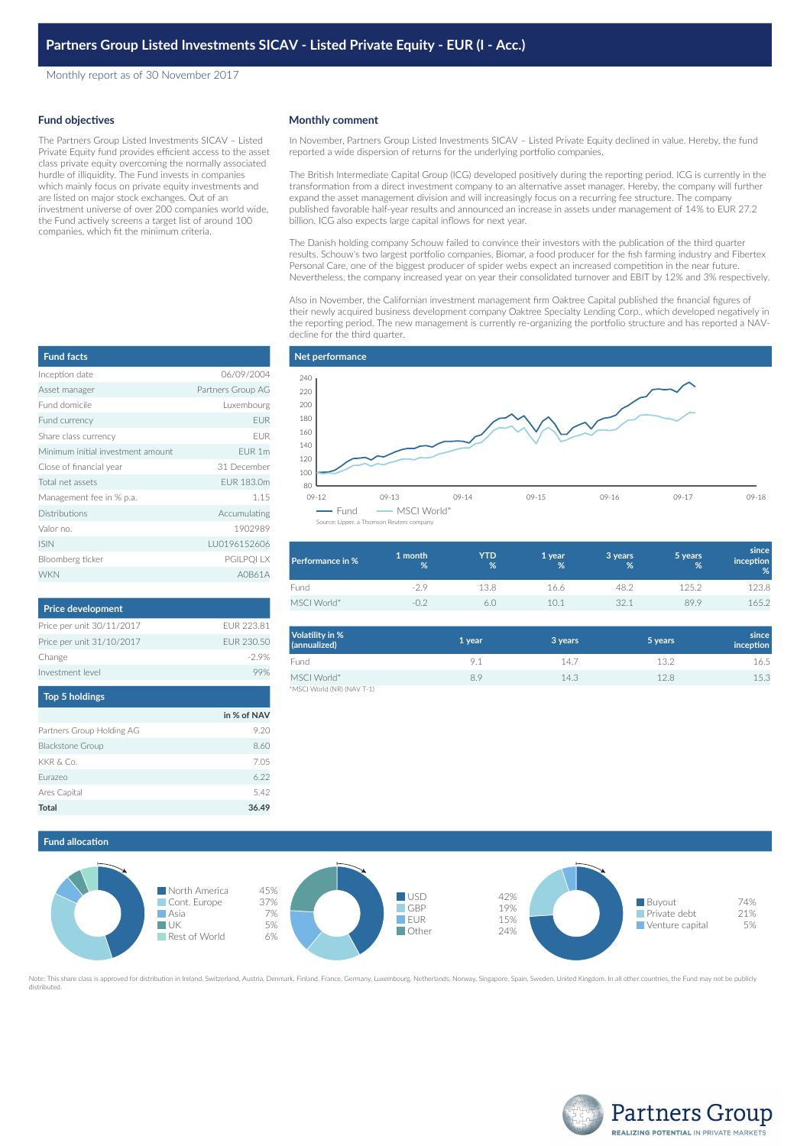Monthly report as of 30 November 2017

#### **Fund objectives**

The Partners Group Listed Investments SICAV – Listed Private Equity fund provides efficient access to the asset class private equity overcoming the normally associated hurdle of illiquidity. The Fund invests in companies which mainly focus on private equity investments and are listed on major stock exchanges. Out of an investment universe of over 200 companies world wide, the Fund actively screens a target list of around 100 companies, which fit the minimum criteria.

# Inception date 06/09/2004 Asset manager **Partners Group AG** Fund domicile Luxembourg Fund currency **EUR** Share class currency example of the EUR Minimum initial investment amount EUR 1m Close of financial year 31 December Total net assets **EUR 183.0m** Management fee in % p.a. 1.15 Distributions **Accumulating** Valor no. 1902989 ISIN LU0196152606 Bloomberg ticker PGILPOI LX **Fund facts**

| <b>Price development</b>  |            |
|---------------------------|------------|
| Price per unit 30/11/2017 | FUR 223.81 |
| Price per unit 31/10/2017 | FUR 230.50 |
| Change                    | $-29%$     |
| Investment level          |            |
| <b>Top 5 holdings</b>     |            |

WKN A0B61A

|                           | in % of NAV |
|---------------------------|-------------|
| Partners Group Holding AG | 9.20        |
| <b>Blackstone Group</b>   | 8.60        |
| KKR & Co.                 | 7.05        |
| Eurazeo                   | 6.22        |
| Ares Capital              | 5.42        |
| Total                     | 36.49       |

#### **Monthly comment**

In November, Partners Group Listed Investments SICAV – Listed Private Equity declined in value. Hereby, the fund reported a wide dispersion of returns for the underlying portfolio companies.

The British Intermediate Capital Group (ICG) developed positively during the reporting period. ICG is currently in the transformation from a direct investment company to an alternative asset manager. Hereby, the company will further expand the asset management division and will increasingly focus on a recurring fee structure. The company published favorable half-year results and announced an increase in assets under management of 14% to EUR 27.2 billion. ICG also expects large capital inflows for next year.

The Danish holding company Schouw failed to convince their investors with the publication of the third quarter results. Schouw's two largest portfolio companies, Biomar, a food producer for the fish farming industry and Fibertex Personal Care, one of the biggest producer of spider webs expect an increased competition in the near future. Nevertheless, the company increased year on year their consolidated turnover and EBIT by 12% and 3% respectively.

Also in November, the Californian investment management firm Oaktree Capital published the financial figures of their newly acquired business development company Oaktree Specialty Lending Corp., which developed negatively in the reporting period. The new management is currently re-organizing the portfolio structure and has reported a NAVdecline for the third quarter.



| Performance in % | 1 month<br>% | YTD<br>% | 1 year<br>% | 3 years<br>% | 5 years<br>% | since<br>inception<br>% |
|------------------|--------------|----------|-------------|--------------|--------------|-------------------------|
| Fund             | $-29$        | 13.8     | 16.6        | 48.2         | 125.2        | 123.8                   |
| MSCI World*      | -0.2         | 6.0      | 10 1        | 32.1         | 89.9         | 165.2                   |

| Volatility in %<br>(annualized) | 1 year | 3 years | 5 years | since<br>inception |
|---------------------------------|--------|---------|---------|--------------------|
| Fund                            | 9.1    | 14.7    | 13.2    | 16.5               |
| MSCI World*                     | 8.9    | 14.3    | 12.8    | 15.3               |
| *MSCI World (NR) (NAV T-1)      |        |         |         |                    |

## **Fund allocation**



Note: This share class is approved for distribution in Ireland, Switzerland, Austria, Denmark, Finland, France, Germany, Luxembourg, Netherlands, Norway, Singapore, Spain, Sweden, United Kingdom, In all other countries, th distributed.